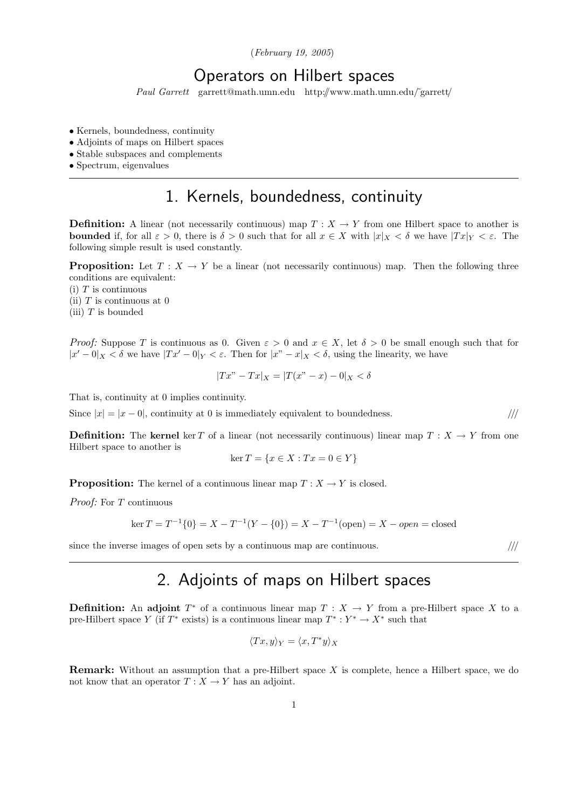(February 19, 2005)

#### Operators on Hilbert spaces

Paul Garrett garrett@math.umn.edu http://www.math.umn.edu/˜garrett/

- Kernels, boundedness, continuity
- Adjoints of maps on Hilbert spaces
- Stable subspaces and complements
- Spectrum, eigenvalues

### 1. Kernels, boundedness, continuity

**Definition:** A linear (not necessarily continuous) map  $T : X \to Y$  from one Hilbert space to another is **bounded** if, for all  $\varepsilon > 0$ , there is  $\delta > 0$  such that for all  $x \in X$  with  $|x|_X < \delta$  we have  $|Tx|_Y < \varepsilon$ . The following simple result is used constantly.

**Proposition:** Let  $T : X \to Y$  be a linear (not necessarily continuous) map. Then the following three conditions are equivalent:

 $(i)$  T is continuous

(ii)  $T$  is continuous at 0

(iii)  $T$  is bounded

*Proof:* Suppose T is continuous as 0. Given  $\varepsilon > 0$  and  $x \in X$ , let  $\delta > 0$  be small enough such that for  $|x'-0|_X < \delta$  we have  $|Tx'-0|_Y < \varepsilon$ . Then for  $|x''-x|_X < \delta$ , using the linearity, we have

$$
|Tx" - Tx|_X = |T(x" - x) - 0|_X < \delta
$$

That is, continuity at 0 implies continuity.

Since  $|x| = |x - 0|$ , continuity at 0 is immediately equivalent to boundedness.  $/$ ///

**Definition:** The kernel ker T of a linear (not necessarily continuous) linear map  $T : X \to Y$  from one Hilbert space to another is

$$
\ker T = \{x \in X : Tx = 0 \in Y\}
$$

**Proposition:** The kernel of a continuous linear map  $T : X \to Y$  is closed.

Proof: For T continuous

$$
\ker T = T^{-1}\{0\} = X - T^{-1}(Y - \{0\}) = X - T^{-1}(\text{open}) = X - open = \text{closed}
$$

since the inverse images of open sets by a continuous map are continuous.  $\frac{1}{1}$ 

### 2. Adjoints of maps on Hilbert spaces

**Definition:** An adjoint  $T^*$  of a continuous linear map  $T : X \to Y$  from a pre-Hilbert space X to a pre-Hilbert space Y (if  $T^*$  exists) is a continuous linear map  $T^* : Y^* \to X^*$  such that

$$
\langle Tx, y \rangle_Y = \langle x, T^*y \rangle_X
$$

**Remark:** Without an assumption that a pre-Hilbert space X is complete, hence a Hilbert space, we do not know that an operator  $T : X \to Y$  has an adjoint.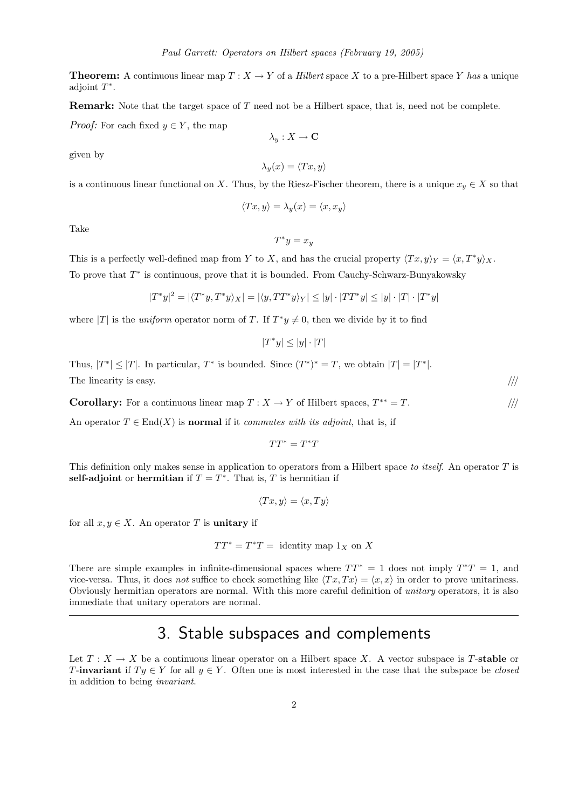**Theorem:** A continuous linear map  $T : X \to Y$  of a *Hilbert* space X to a pre-Hilbert space Y has a unique adjoint  $T^*$ .

Remark: Note that the target space of T need not be a Hilbert space, that is, need not be complete.

*Proof:* For each fixed  $y \in Y$ , the map

given by

$$
\lambda_y(x) = \langle Tx, y \rangle
$$

 $\lambda_y: X \to \mathbf{C}$ 

is a continuous linear functional on X. Thus, by the Riesz-Fischer theorem, there is a unique  $x_y \in X$  so that

$$
\langle Tx, y \rangle = \lambda_y(x) = \langle x, x_y \rangle
$$

Take

$$
T^*y = x_y
$$

This is a perfectly well-defined map from Y to X, and has the crucial property  $\langle Tx, y \rangle_Y = \langle x, T^*y \rangle_X$ . To prove that  $T^*$  is continuous, prove that it is bounded. From Cauchy-Schwarz-Bunyakowsky

$$
|T^*y|^2 = |\langle T^*y, T^*y \rangle_X| = |\langle y, TT^*y \rangle_Y| \le |y| \cdot |TT^*y| \le |y| \cdot |T| \cdot |T^*y|
$$

where |T| is the *uniform* operator norm of T. If  $T^*y \neq 0$ , then we divide by it to find

 $|T^*y| \leq |y| \cdot |T|$ 

Thus,  $|T^*| \leq |T|$ . In particular,  $T^*$  is bounded. Since  $(T^*)^* = T$ , we obtain  $|T| = |T^*|$ . The linearity is easy.  $/$ ///

**Corollary:** For a continuous linear map  $T : X \to Y$  of Hilbert spaces,  $T^{**} = T$ .

An operator  $T \in End(X)$  is **normal** if it *commutes with its adjoint*, that is, if

$$
TT^*=T^*T
$$

This definition only makes sense in application to operators from a Hilbert space to itself. An operator  $T$  is self-adjoint or hermitian if  $T = T^*$ . That is, T is hermitian if

$$
\langle Tx, y \rangle = \langle x, Ty \rangle
$$

for all  $x, y \in X$ . An operator T is unitary if

$$
TT^* = T^*T = \text{identity map } 1_X \text{ on } X
$$

There are simple examples in infinite-dimensional spaces where  $TT^* = 1$  does not imply  $T^*T = 1$ , and vice-versa. Thus, it does not suffice to check something like  $\langle Tx, Tx \rangle = \langle x, x \rangle$  in order to prove unitariness. Obviously hermitian operators are normal. With this more careful definition of unitary operators, it is also immediate that unitary operators are normal.

## 3. Stable subspaces and complements

Let  $T : X \to X$  be a continuous linear operator on a Hilbert space X. A vector subspace is T-stable or T-invariant if  $Ty \in Y$  for all  $y \in Y$ . Often one is most interested in the case that the subspace be *closed* in addition to being invariant.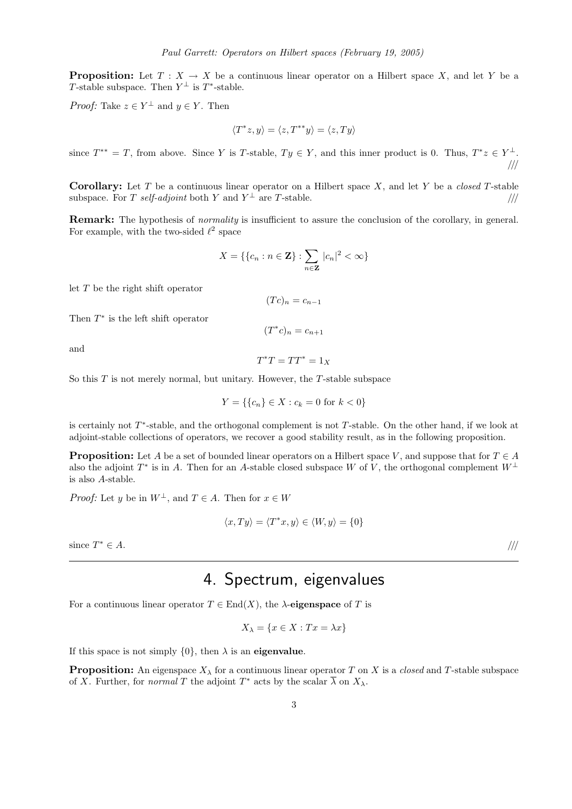**Proposition:** Let  $T : X \to X$  be a continuous linear operator on a Hilbert space X, and let Y be a T-stable subspace. Then  $Y^{\perp}$  is  $T^*$ -stable.

*Proof:* Take  $z \in Y^{\perp}$  and  $y \in Y$ . Then

$$
\langle T^*z, y \rangle = \langle z, T^{**}y \rangle = \langle z, Ty \rangle
$$

since  $T^{**} = T$ , from above. Since Y is T-stable,  $Ty \in Y$ , and this inner product is 0. Thus,  $T^*z \in Y^{\perp}$ . ///

**Corollary:** Let T be a continuous linear operator on a Hilbert space X, and let Y be a *closed* T-stable subspace. For T self-adjoint both Y and  $Y^{\perp}$  are T-stable.  $\frac{1}{1}$ 

Remark: The hypothesis of *normality* is insufficient to assure the conclusion of the corollary, in general. For example, with the two-sided  $\ell^2$  space

$$
X = \{ \{c_n : n \in \mathbf{Z} \} : \sum_{n \in \mathbf{Z}} |c_n|^2 < \infty \}
$$

let  $T$  be the right shift operator

$$
(Tc)_n = c_{n-1}
$$

Then  $T^*$  is the left shift operator

$$
(T^*c)_n = c_{n+1}
$$

and

$$
T^*T = TT^* = 1_X
$$

So this  $T$  is not merely normal, but unitary. However, the  $T$ -stable subspace

$$
Y = \{\{c_n\} \in X : c_k = 0 \text{ for } k < 0\}
$$

is certainly not  $T^*$ -stable, and the orthogonal complement is not  $T$ -stable. On the other hand, if we look at adjoint-stable collections of operators, we recover a good stability result, as in the following proposition.

**Proposition:** Let A be a set of bounded linear operators on a Hilbert space V, and suppose that for  $T \in A$ also the adjoint  $T^*$  is in A. Then for an A-stable closed subspace W of V, the orthogonal complement  $W^{\perp}$ is also A-stable.

*Proof:* Let y be in  $W^{\perp}$ , and  $T \in A$ . Then for  $x \in W$ 

$$
\langle x, Ty \rangle = \langle T^*x, y \rangle \in \langle W, y \rangle = \{0\}
$$

since  $T^* \in A$ .  $* \in A$ . ////

# 4. Spectrum, eigenvalues

For a continuous linear operator  $T \in End(X)$ , the  $\lambda$ -eigenspace of T is

$$
X_{\lambda} = \{ x \in X : Tx = \lambda x \}
$$

If this space is not simply  $\{0\}$ , then  $\lambda$  is an **eigenvalue**.

**Proposition:** An eigenspace  $X_\lambda$  for a continuous linear operator T on X is a closed and T-stable subspace of X. Further, for *normal* T the adjoint  $T^*$  acts by the scalar  $\overline{\lambda}$  on  $X_{\lambda}$ .